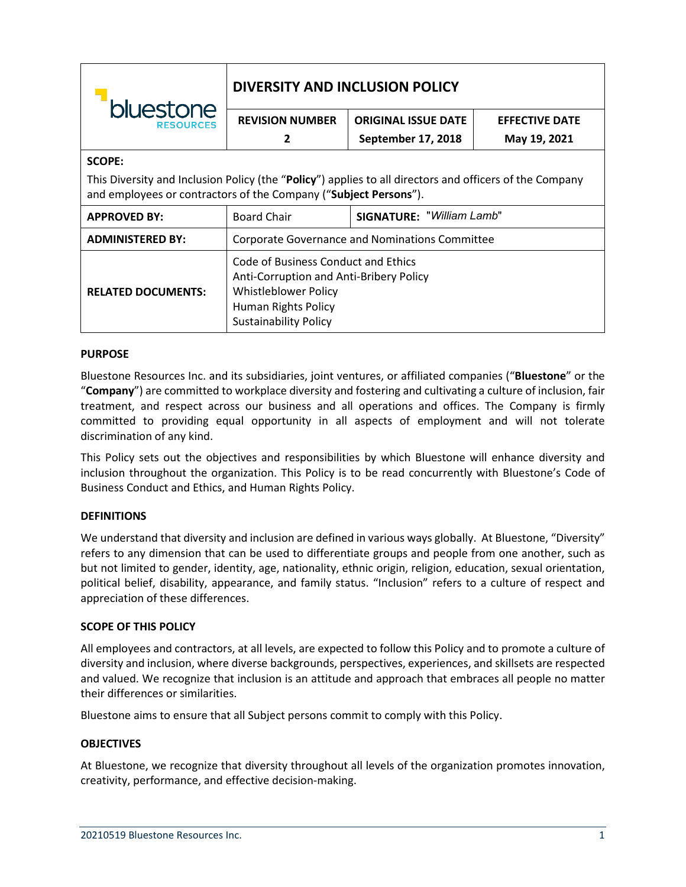| bluestone<br><b>RESOURCES</b>                                                                                                                                               | <b>DIVERSITY AND INCLUSION POLICY</b>                                                                                                                         |                                  |                       |
|-----------------------------------------------------------------------------------------------------------------------------------------------------------------------------|---------------------------------------------------------------------------------------------------------------------------------------------------------------|----------------------------------|-----------------------|
|                                                                                                                                                                             | <b>REVISION NUMBER</b>                                                                                                                                        | <b>ORIGINAL ISSUE DATE</b>       | <b>EFFECTIVE DATE</b> |
|                                                                                                                                                                             | 2                                                                                                                                                             | September 17, 2018               | May 19, 2021          |
| <b>SCOPE:</b>                                                                                                                                                               |                                                                                                                                                               |                                  |                       |
| This Diversity and Inclusion Policy (the "Policy") applies to all directors and officers of the Company<br>and employees or contractors of the Company ("Subject Persons"). |                                                                                                                                                               |                                  |                       |
| <b>APPROVED BY:</b>                                                                                                                                                         | <b>Board Chair</b>                                                                                                                                            | <b>SIGNATURE: "William Lamb"</b> |                       |
| <b>ADMINISTERED BY:</b>                                                                                                                                                     | Corporate Governance and Nominations Committee                                                                                                                |                                  |                       |
| <b>RELATED DOCUMENTS:</b>                                                                                                                                                   | Code of Business Conduct and Ethics<br>Anti-Corruption and Anti-Bribery Policy<br>Whistleblower Policy<br>Human Rights Policy<br><b>Sustainability Policy</b> |                                  |                       |

# **PURPOSE**

Bluestone Resources Inc. and its subsidiaries, joint ventures, or affiliated companies ("**Bluestone**" or the "**Company**") are committed to workplace diversity and fostering and cultivating a culture of inclusion, fair treatment, and respect across our business and all operations and offices. The Company is firmly committed to providing equal opportunity in all aspects of employment and will not tolerate discrimination of any kind.

This Policy sets out the objectives and responsibilities by which Bluestone will enhance diversity and inclusion throughout the organization. This Policy is to be read concurrently with Bluestone's Code of Business Conduct and Ethics, and Human Rights Policy.

## **DEFINITIONS**

We understand that diversity and inclusion are defined in various ways globally. At Bluestone, "Diversity" refers to any dimension that can be used to differentiate groups and people from one another, such as but not limited to gender, identity, age, nationality, ethnic origin, religion, education, sexual orientation, political belief, disability, appearance, and family status. "Inclusion" refers to a culture of respect and appreciation of these differences.

## **SCOPE OF THIS POLICY**

All employees and contractors, at all levels, are expected to follow this Policy and to promote a culture of diversity and inclusion, where diverse backgrounds, perspectives, experiences, and skillsets are respected and valued. We recognize that inclusion is an attitude and approach that embraces all people no matter their differences or similarities.

Bluestone aims to ensure that all Subject persons commit to comply with this Policy.

## **OBJECTIVES**

At Bluestone, we recognize that diversity throughout all levels of the organization promotes innovation, creativity, performance, and effective decision-making.